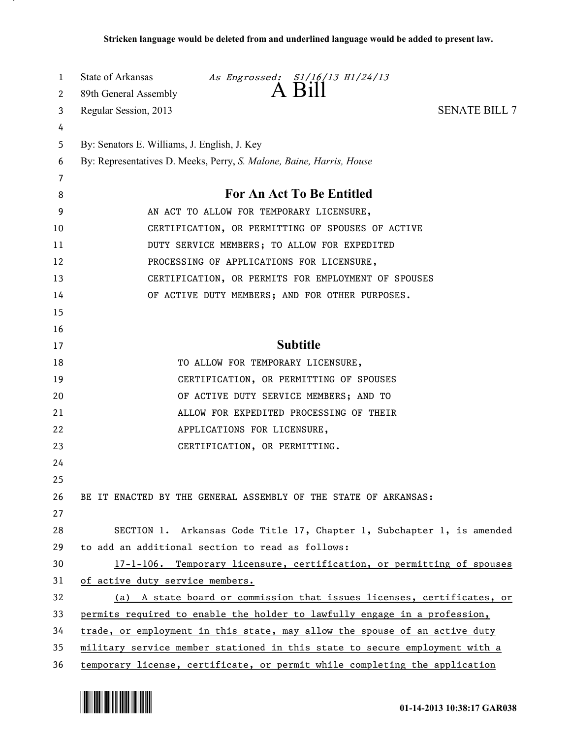| 1  | State of Arkansas<br>As Engrossed: S1/16/13 H1/24/13<br>$A$ Bill            |  |
|----|-----------------------------------------------------------------------------|--|
| 2  | 89th General Assembly                                                       |  |
| 3  | Regular Session, 2013<br><b>SENATE BILL 7</b>                               |  |
| 4  |                                                                             |  |
| 5  | By: Senators E. Williams, J. English, J. Key                                |  |
| 6  | By: Representatives D. Meeks, Perry, S. Malone, Baine, Harris, House        |  |
| 7  |                                                                             |  |
| 8  | <b>For An Act To Be Entitled</b>                                            |  |
| 9  | AN ACT TO ALLOW FOR TEMPORARY LICENSURE,                                    |  |
| 10 | CERTIFICATION, OR PERMITTING OF SPOUSES OF ACTIVE                           |  |
| 11 | DUTY SERVICE MEMBERS; TO ALLOW FOR EXPEDITED                                |  |
| 12 | PROCESSING OF APPLICATIONS FOR LICENSURE,                                   |  |
| 13 | CERTIFICATION, OR PERMITS FOR EMPLOYMENT OF SPOUSES                         |  |
| 14 | OF ACTIVE DUTY MEMBERS; AND FOR OTHER PURPOSES.                             |  |
| 15 |                                                                             |  |
| 16 |                                                                             |  |
| 17 | <b>Subtitle</b>                                                             |  |
| 18 | TO ALLOW FOR TEMPORARY LICENSURE,                                           |  |
| 19 | CERTIFICATION, OR PERMITTING OF SPOUSES                                     |  |
| 20 | OF ACTIVE DUTY SERVICE MEMBERS; AND TO                                      |  |
| 21 | ALLOW FOR EXPEDITED PROCESSING OF THEIR                                     |  |
| 22 | APPLICATIONS FOR LICENSURE,                                                 |  |
| 23 | CERTIFICATION, OR PERMITTING.                                               |  |
| 24 |                                                                             |  |
| 25 |                                                                             |  |
| 26 | BE IT ENACTED BY THE GENERAL ASSEMBLY OF THE STATE OF ARKANSAS:             |  |
| 27 |                                                                             |  |
| 28 | SECTION 1. Arkansas Code Title 17, Chapter 1, Subchapter 1, is amended      |  |
| 29 | to add an additional section to read as follows:                            |  |
| 30 | 17-1-106. Temporary licensure, certification, or permitting of spouses      |  |
| 31 | of active duty service members.                                             |  |
| 32 | (a) A state board or commission that issues licenses, certificates, or      |  |
| 33 | permits required to enable the holder to lawfully engage in a profession,   |  |
| 34 | trade, or employment in this state, may allow the spouse of an active duty  |  |
| 35 | military service member stationed in this state to secure employment with a |  |
| 36 | temporary license, certificate, or permit while completing the application  |  |



.